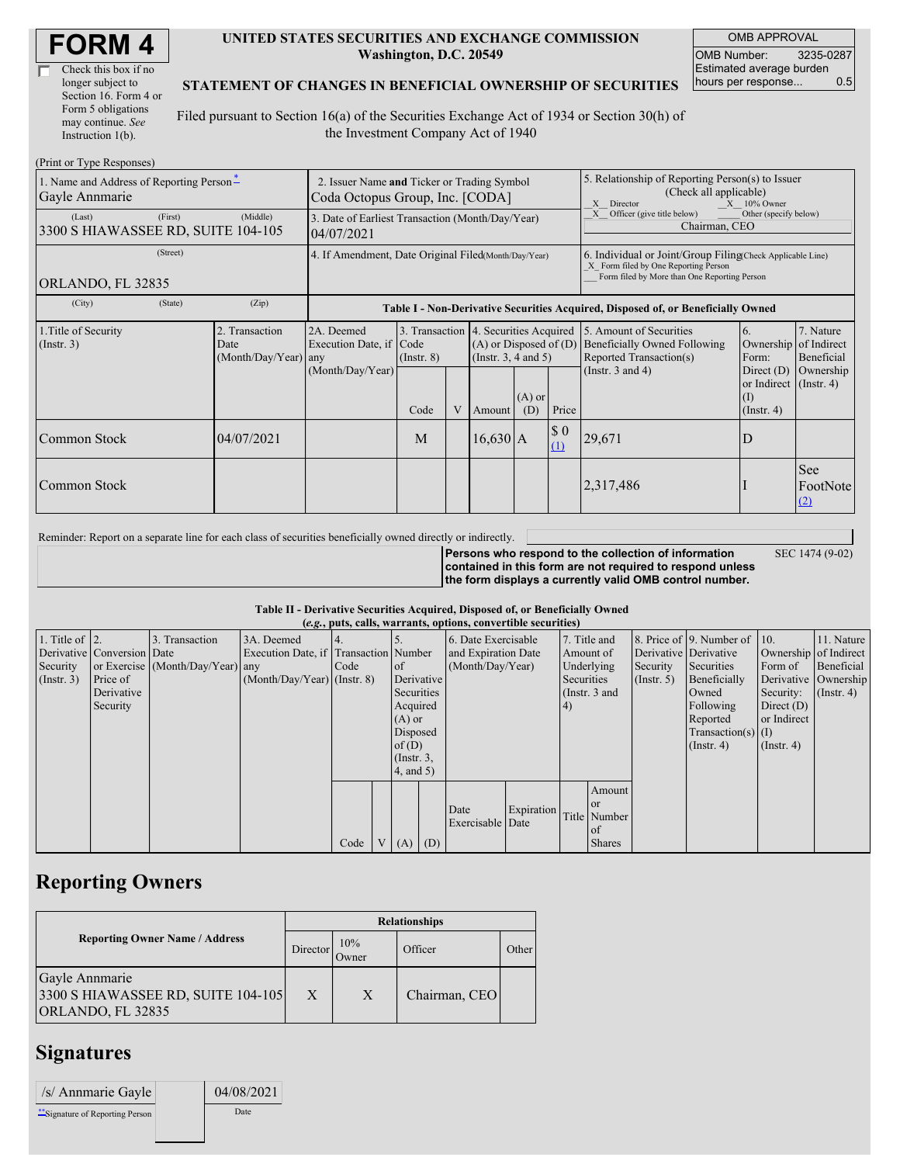| Check this box if no  |
|-----------------------|
| longer subject to     |
| Section 16. Form 4 or |
| Form 5 obligations    |
| may continue. See     |
| Instruction $1(b)$ .  |

#### **UNITED STATES SECURITIES AND EXCHANGE COMMISSION Washington, D.C. 20549**

OMB APPROVAL OMB Number: 3235-0287 Estimated average burden hours per response... 0.5

### **STATEMENT OF CHANGES IN BENEFICIAL OWNERSHIP OF SECURITIES**

Filed pursuant to Section 16(a) of the Securities Exchange Act of 1934 or Section 30(h) of the Investment Company Act of 1940

| (Print or Type Responses)                                  |                                                                                |                                                  |                                                           |                                                                  |   |                                                                   |                                                                                                                                                                                      |                                                                                  |                                                                                                                                                    |                                                                                                           |                                      |
|------------------------------------------------------------|--------------------------------------------------------------------------------|--------------------------------------------------|-----------------------------------------------------------|------------------------------------------------------------------|---|-------------------------------------------------------------------|--------------------------------------------------------------------------------------------------------------------------------------------------------------------------------------|----------------------------------------------------------------------------------|----------------------------------------------------------------------------------------------------------------------------------------------------|-----------------------------------------------------------------------------------------------------------|--------------------------------------|
| 1. Name and Address of Reporting Person-<br>Gayle Annmarie | 2. Issuer Name and Ticker or Trading Symbol<br>Coda Octopus Group, Inc. [CODA] |                                                  |                                                           |                                                                  |   |                                                                   | 5. Relationship of Reporting Person(s) to Issuer<br>(Check all applicable)<br>$X = 10\%$ Owner<br>X Director<br>Other (specify below)<br>Officer (give title below)<br>Chairman, CEO |                                                                                  |                                                                                                                                                    |                                                                                                           |                                      |
| (Last)<br>3300 S HIAWASSEE RD, SUITE 104-105               | 3. Date of Earliest Transaction (Month/Day/Year)<br>04/07/2021                 |                                                  |                                                           |                                                                  |   |                                                                   |                                                                                                                                                                                      |                                                                                  |                                                                                                                                                    |                                                                                                           |                                      |
| (Street)<br>ORLANDO, FL 32835                              |                                                                                |                                                  | 4. If Amendment, Date Original Filed(Month/Day/Year)      |                                                                  |   |                                                                   |                                                                                                                                                                                      |                                                                                  | 6. Individual or Joint/Group Filing Check Applicable Line)<br>X Form filed by One Reporting Person<br>Form filed by More than One Reporting Person |                                                                                                           |                                      |
| (City)                                                     | (State)                                                                        | (Zip)                                            |                                                           |                                                                  |   |                                                                   |                                                                                                                                                                                      | Table I - Non-Derivative Securities Acquired, Disposed of, or Beneficially Owned |                                                                                                                                                    |                                                                                                           |                                      |
| 1. Title of Security<br>(Insert. 3)                        |                                                                                | 2. Transaction<br>Date<br>$(Month/Day/Year)$ any | 2A. Deemed<br>Execution Date, if Code<br>(Month/Day/Year) | 3. Transaction 4. Securities Acquired<br>$($ Instr. $8)$<br>Code | V | $(A)$ or Disposed of $(D)$<br>$($ Instr. 3, 4 and 5 $)$<br>Amount | $(A)$ or<br>(D)                                                                                                                                                                      | Price                                                                            | 5. Amount of Securities<br>Beneficially Owned Following<br>Reported Transaction(s)<br>(Instr. $3$ and $4$ )                                        | 6.<br>Ownership of Indirect<br>Form:<br>Direct $(D)$<br>or Indirect (Instr. 4)<br>(I)<br>$($ Instr. 4 $)$ | 7. Nature<br>Beneficial<br>Ownership |
| Common Stock                                               |                                                                                | 04/07/2021                                       |                                                           | M                                                                |   | $16,630$ A                                                        |                                                                                                                                                                                      | $\boldsymbol{\mathsf{S}}$ 0<br>(1)                                               | 29,671                                                                                                                                             | D                                                                                                         |                                      |
| Common Stock                                               |                                                                                |                                                  |                                                           |                                                                  |   |                                                                   |                                                                                                                                                                                      |                                                                                  | 2,317,486                                                                                                                                          |                                                                                                           | See<br>FootNote<br>(2)               |

Reminder: Report on a separate line for each class of securities beneficially owned directly or indirectly.

SEC 1474 (9-02)

**Persons who respond to the collection of information contained in this form are not required to respond unless the form displays a currently valid OMB control number.**

#### **Table II - Derivative Securities Acquired, Disposed of, or Beneficially Owned**

| (e.g., puts, calls, warrants, options, convertible securities) |                            |                                  |                                       |      |                |                  |            |                     |            |            |                 |                  |                              |                  |                       |
|----------------------------------------------------------------|----------------------------|----------------------------------|---------------------------------------|------|----------------|------------------|------------|---------------------|------------|------------|-----------------|------------------|------------------------------|------------------|-----------------------|
| 1. Title of $\vert$ 2.                                         |                            | 3. Transaction                   | 3A. Deemed                            |      |                |                  |            | 6. Date Exercisable |            |            | 7. Title and    |                  | 8. Price of 9. Number of 10. |                  | 11. Nature            |
|                                                                | Derivative Conversion Date |                                  | Execution Date, if Transaction Number |      |                |                  |            | and Expiration Date |            |            | Amount of       |                  | Derivative Derivative        |                  | Ownership of Indirect |
| Security                                                       |                            | or Exercise (Month/Day/Year) any |                                       | Code |                | <sub>of</sub>    |            | (Month/Day/Year)    |            |            | Underlying      | Security         | Securities                   | Form of          | Beneficial            |
| (Insert. 3)                                                    | Price of                   |                                  | $(Month/Day/Year)$ (Instr. 8)         |      |                |                  | Derivative |                     |            | Securities |                 | $($ Instr. 5 $)$ | Beneficially                 |                  | Derivative Ownership  |
|                                                                | Derivative                 |                                  |                                       |      |                | Securities       |            |                     |            |            | (Instr. $3$ and |                  | Owned                        | Security:        | $($ Instr. 4 $)$      |
|                                                                | Security                   |                                  |                                       |      |                | Acquired         |            |                     |            | (4)        |                 |                  | Following                    | Direct $(D)$     |                       |
|                                                                |                            |                                  |                                       |      |                | $(A)$ or         |            |                     |            |            |                 |                  | Reported                     | or Indirect      |                       |
|                                                                |                            |                                  |                                       |      |                | Disposed         |            |                     |            |            |                 |                  | $Transaction(s)$ (I)         |                  |                       |
|                                                                |                            |                                  |                                       |      |                | of $(D)$         |            |                     |            |            |                 |                  | $($ Instr. 4 $)$             | $($ Instr. 4 $)$ |                       |
|                                                                |                            |                                  |                                       |      |                | $($ Instr. $3$ , |            |                     |            |            |                 |                  |                              |                  |                       |
|                                                                |                            |                                  |                                       |      |                | 4, and 5)        |            |                     |            |            |                 |                  |                              |                  |                       |
|                                                                |                            |                                  |                                       |      |                |                  |            |                     |            |            | Amount          |                  |                              |                  |                       |
|                                                                |                            |                                  |                                       |      |                |                  |            |                     |            |            | $\alpha$        |                  |                              |                  |                       |
|                                                                |                            |                                  |                                       |      |                |                  |            | Date                | Expiration |            | Title Number    |                  |                              |                  |                       |
|                                                                |                            |                                  |                                       |      |                |                  |            | Exercisable Date    |            |            | <sub>of</sub>   |                  |                              |                  |                       |
|                                                                |                            |                                  |                                       | Code | V <sub>1</sub> | $(A)$ $(D)$      |            |                     |            |            | <b>Shares</b>   |                  |                              |                  |                       |

## **Reporting Owners**

|                                                                           | <b>Relationships</b> |              |               |       |  |  |  |  |
|---------------------------------------------------------------------------|----------------------|--------------|---------------|-------|--|--|--|--|
| <b>Reporting Owner Name / Address</b>                                     | Director             | 10%<br>Owner | Officer       | Other |  |  |  |  |
| Gayle Annmarie<br>3300 S HIAWASSEE RD, SUITE 104-105<br>ORLANDO, FL 32835 | X                    | X            | Chairman, CEO |       |  |  |  |  |

## **Signatures**

| /s/ Annmarie Gayle               | 04/08/2021 |
|----------------------------------|------------|
| ** Signature of Reporting Person | Date       |
|                                  |            |